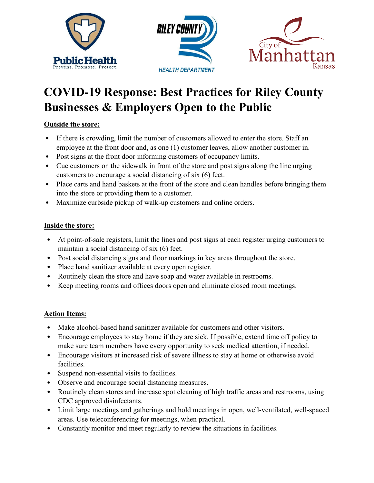

# **COVID-19 Response: Best Practices for Riley County Businesses & Employers Open to the Public**

## **Outside the store:**

- If there is crowding, limit the number of customers allowed to enter the store. Staff an employee at the front door and, as one (1) customer leaves, allow another customer in.
- Post signs at the front door informing customers of occupancy limits.
- Cue customers on the sidewalk in front of the store and post signs along the line urging customers to encourage a social distancing of six (6) feet.
- Place carts and hand baskets at the front of the store and clean handles before bringing them into the store or providing them to a customer.
- Maximize curbside pickup of walk-up customers and online orders.

#### **Inside the store:**

- At point-of-sale registers, limit the lines and post signs at each register urging customers to maintain a social distancing of six (6) feet.
- Post social distancing signs and floor markings in key areas throughout the store.
- Place hand sanitizer available at every open register.
- Routinely clean the store and have soap and water available in restrooms.
- Keep meeting rooms and offices doors open and eliminate closed room meetings.

#### **Action Items:**

- Make alcohol-based hand sanitizer available for customers and other visitors.
- Encourage employees to stay home if they are sick. If possible, extend time off policy to make sure team members have every opportunity to seek medical attention, if needed.
- Encourage visitors at increased risk of severe illness to stay at home or otherwise avoid facilities.
- Suspend non-essential visits to facilities.
- Observe and encourage social distancing measures.
- Routinely clean stores and increase spot cleaning of high traffic areas and restrooms, using CDC approved disinfectants.
- Limit large meetings and gatherings and hold meetings in open, well-ventilated, well-spaced areas. Use teleconferencing for meetings, when practical.
- Constantly monitor and meet regularly to review the situations in facilities.